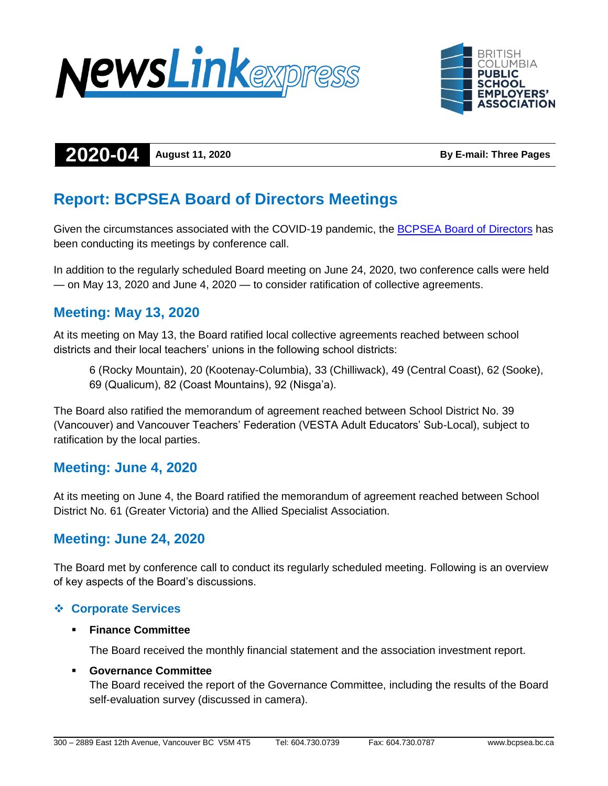



# **2020-04 August 11, 2020 By E-mail: Three Pages**

# **Report: BCPSEA Board of Directors Meetings**

Given the circumstances associated with the COVID-19 pandemic, the **BCPSEA Board of Directors** has been conducting its meetings by conference call.

In addition to the regularly scheduled Board meeting on June 24, 2020, two conference calls were held — on May 13, 2020 and June 4, 2020 — to consider ratification of collective agreements.

# **Meeting: May 13, 2020**

At its meeting on May 13, the Board ratified local collective agreements reached between school districts and their local teachers' unions in the following school districts:

6 (Rocky Mountain), 20 (Kootenay-Columbia), 33 (Chilliwack), 49 (Central Coast), 62 (Sooke), 69 (Qualicum), 82 (Coast Mountains), 92 (Nisga'a).

The Board also ratified the memorandum of agreement reached between School District No. 39 (Vancouver) and Vancouver Teachers' Federation (VESTA Adult Educators' Sub-Local), subject to ratification by the local parties.

# **Meeting: June 4, 2020**

At its meeting on June 4, the Board ratified the memorandum of agreement reached between School District No. 61 (Greater Victoria) and the Allied Specialist Association.

# **Meeting: June 24, 2020**

The Board met by conference call to conduct its regularly scheduled meeting. Following is an overview of key aspects of the Board's discussions.

## **Corporate Services**

#### **Finance Committee**

The Board received the monthly financial statement and the association investment report.

#### **Governance Committee**

The Board received the report of the Governance Committee, including the results of the Board self-evaluation survey (discussed in camera).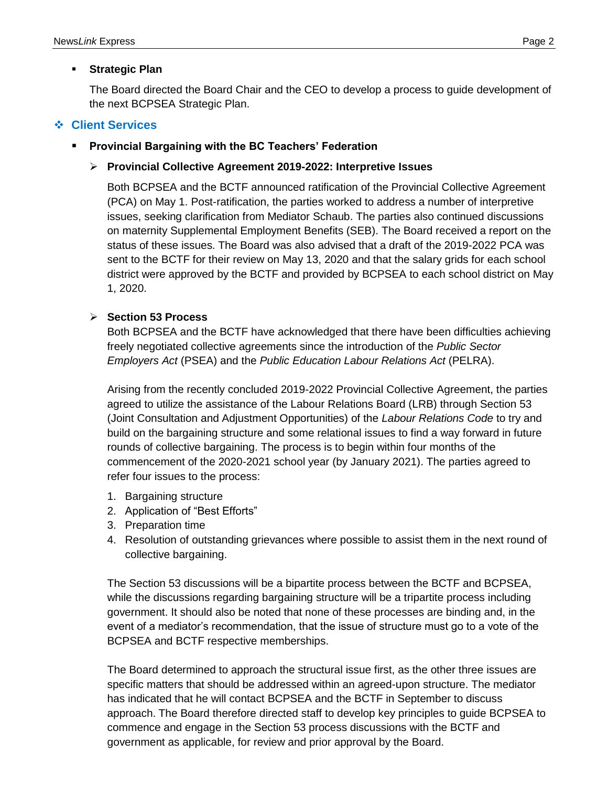#### **Strategic Plan**

The Board directed the Board Chair and the CEO to develop a process to guide development of the next BCPSEA Strategic Plan.

## **Client Services**

#### **Provincial Bargaining with the BC Teachers' Federation**

#### **Provincial Collective Agreement 2019-2022: Interpretive Issues**

Both BCPSEA and the BCTF announced ratification of the Provincial Collective Agreement (PCA) on May 1. Post-ratification, the parties worked to address a number of interpretive issues, seeking clarification from Mediator Schaub. The parties also continued discussions on maternity Supplemental Employment Benefits (SEB). The Board received a report on the status of these issues. The Board was also advised that a draft of the 2019-2022 PCA was sent to the BCTF for their review on May 13, 2020 and that the salary grids for each school district were approved by the BCTF and provided by BCPSEA to each school district on May 1, 2020.

#### **Section 53 Process**

Both BCPSEA and the BCTF have acknowledged that there have been difficulties achieving freely negotiated collective agreements since the introduction of the *Public Sector Employers Act* (PSEA) and the *Public Education Labour Relations Act* (PELRA).

Arising from the recently concluded 2019-2022 Provincial Collective Agreement, the parties agreed to utilize the assistance of the Labour Relations Board (LRB) through Section 53 (Joint Consultation and Adjustment Opportunities) of the *Labour Relations Code* to try and build on the bargaining structure and some relational issues to find a way forward in future rounds of collective bargaining. The process is to begin within four months of the commencement of the 2020-2021 school year (by January 2021). The parties agreed to refer four issues to the process:

- 1. Bargaining structure
- 2. Application of "Best Efforts"
- 3. Preparation time
- 4. Resolution of outstanding grievances where possible to assist them in the next round of collective bargaining.

The Section 53 discussions will be a bipartite process between the BCTF and BCPSEA, while the discussions regarding bargaining structure will be a tripartite process including government. It should also be noted that none of these processes are binding and, in the event of a mediator's recommendation, that the issue of structure must go to a vote of the BCPSEA and BCTF respective memberships.

The Board determined to approach the structural issue first, as the other three issues are specific matters that should be addressed within an agreed-upon structure. The mediator has indicated that he will contact BCPSEA and the BCTF in September to discuss approach. The Board therefore directed staff to develop key principles to guide BCPSEA to commence and engage in the Section 53 process discussions with the BCTF and government as applicable, for review and prior approval by the Board.